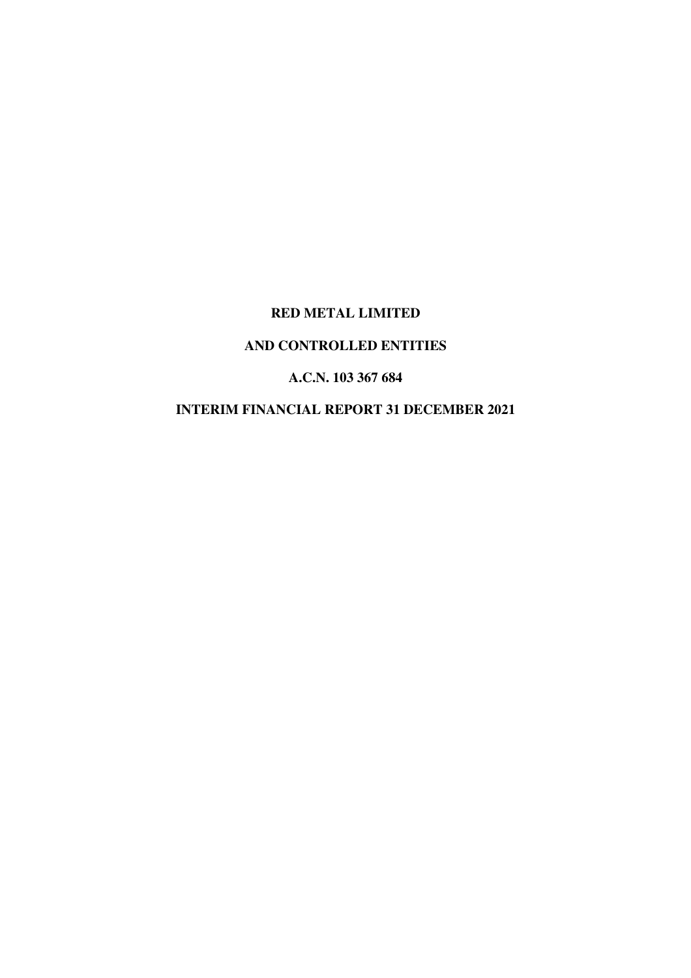# **RED METAL LIMITED**

# **AND CONTROLLED ENTITIES**

## **A.C.N. 103 367 684**

# **INTERIM FINANCIAL REPORT 31 DECEMBER 2021**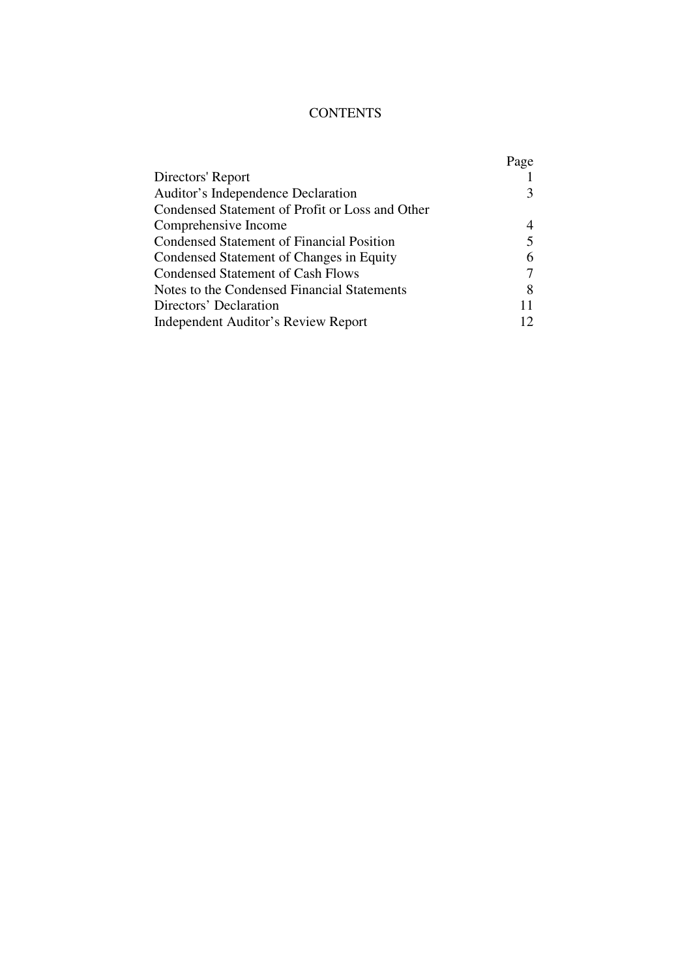# **CONTENTS**

|                                                  | Page |
|--------------------------------------------------|------|
| Directors' Report                                |      |
| Auditor's Independence Declaration               | 3    |
| Condensed Statement of Profit or Loss and Other  |      |
| Comprehensive Income                             | 4    |
| <b>Condensed Statement of Financial Position</b> |      |
| Condensed Statement of Changes in Equity         | 6    |
| <b>Condensed Statement of Cash Flows</b>         | 7    |
| Notes to the Condensed Financial Statements      | 8    |
| Directors' Declaration                           |      |
| Independent Auditor's Review Report              | 12   |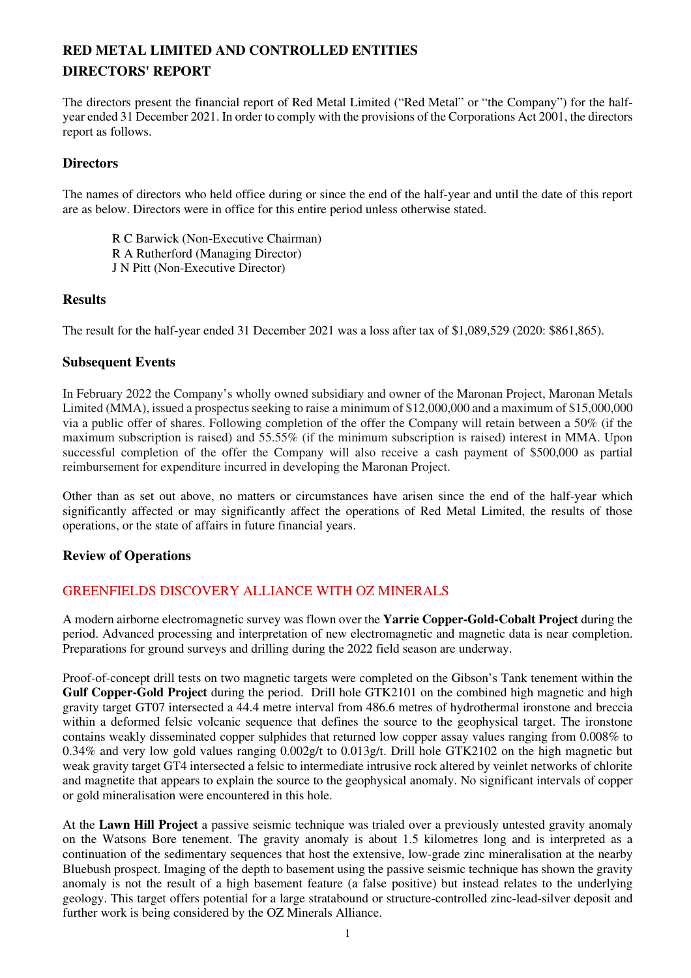# **RED METAL LIMITED AND CONTROLLED ENTITIES DIRECTORS' REPORT**

The directors present the financial report of Red Metal Limited ("Red Metal" or "the Company") for the halfyear ended 31 December 2021. In order to comply with the provisions of the Corporations Act 2001, the directors report as follows.

## **Directors**

The names of directors who held office during or since the end of the half-year and until the date of this report are as below. Directors were in office for this entire period unless otherwise stated.

 R C Barwick (Non-Executive Chairman) R A Rutherford (Managing Director) J N Pitt (Non-Executive Director)

## **Results**

The result for the half-year ended 31 December 2021 was a loss after tax of \$1,089,529 (2020: \$861,865).

## **Subsequent Events**

In February 2022 the Company's wholly owned subsidiary and owner of the Maronan Project, Maronan Metals Limited (MMA), issued a prospectus seeking to raise a minimum of \$12,000,000 and a maximum of \$15,000,000 via a public offer of shares. Following completion of the offer the Company will retain between a 50% (if the maximum subscription is raised) and 55.55% (if the minimum subscription is raised) interest in MMA. Upon successful completion of the offer the Company will also receive a cash payment of \$500,000 as partial reimbursement for expenditure incurred in developing the Maronan Project.

Other than as set out above, no matters or circumstances have arisen since the end of the half-year which significantly affected or may significantly affect the operations of Red Metal Limited, the results of those operations, or the state of affairs in future financial years.

### **Review of Operations**

## GREENFIELDS DISCOVERY ALLIANCE WITH OZ MINERALS

A modern airborne electromagnetic survey was flown over the **Yarrie Copper-Gold-Cobalt Project** during the period. Advanced processing and interpretation of new electromagnetic and magnetic data is near completion. Preparations for ground surveys and drilling during the 2022 field season are underway.

Proof-of-concept drill tests on two magnetic targets were completed on the Gibson's Tank tenement within the **Gulf Copper-Gold Project** during the period. Drill hole GTK2101 on the combined high magnetic and high gravity target GT07 intersected a 44.4 metre interval from 486.6 metres of hydrothermal ironstone and breccia within a deformed felsic volcanic sequence that defines the source to the geophysical target. The ironstone contains weakly disseminated copper sulphides that returned low copper assay values ranging from 0.008% to 0.34% and very low gold values ranging 0.002g/t to 0.013g/t. Drill hole GTK2102 on the high magnetic but weak gravity target GT4 intersected a felsic to intermediate intrusive rock altered by veinlet networks of chlorite and magnetite that appears to explain the source to the geophysical anomaly. No significant intervals of copper or gold mineralisation were encountered in this hole.

At the **Lawn Hill Project** a passive seismic technique was trialed over a previously untested gravity anomaly on the Watsons Bore tenement. The gravity anomaly is about 1.5 kilometres long and is interpreted as a continuation of the sedimentary sequences that host the extensive, low-grade zinc mineralisation at the nearby Bluebush prospect. Imaging of the depth to basement using the passive seismic technique has shown the gravity anomaly is not the result of a high basement feature (a false positive) but instead relates to the underlying geology. This target offers potential for a large stratabound or structure-controlled zinc-lead-silver deposit and further work is being considered by the OZ Minerals Alliance.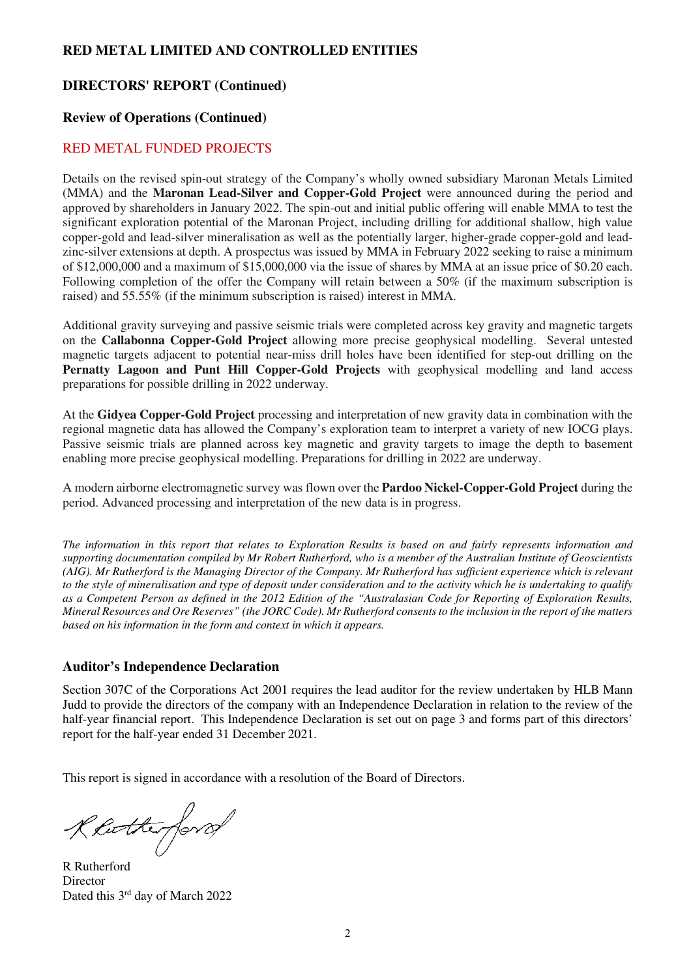## **DIRECTORS' REPORT (Continued)**

## **Review of Operations (Continued)**

### RED METAL FUNDED PROJECTS

Details on the revised spin-out strategy of the Company's wholly owned subsidiary Maronan Metals Limited (MMA) and the **Maronan Lead-Silver and Copper-Gold Project** were announced during the period and approved by shareholders in January 2022. The spin-out and initial public offering will enable MMA to test the significant exploration potential of the Maronan Project, including drilling for additional shallow, high value copper-gold and lead-silver mineralisation as well as the potentially larger, higher-grade copper-gold and leadzinc-silver extensions at depth. A prospectus was issued by MMA in February 2022 seeking to raise a minimum of \$12,000,000 and a maximum of \$15,000,000 via the issue of shares by MMA at an issue price of \$0.20 each. Following completion of the offer the Company will retain between a 50% (if the maximum subscription is raised) and 55.55% (if the minimum subscription is raised) interest in MMA.

Additional gravity surveying and passive seismic trials were completed across key gravity and magnetic targets on the **Callabonna Copper-Gold Project** allowing more precise geophysical modelling. Several untested magnetic targets adjacent to potential near-miss drill holes have been identified for step-out drilling on the **Pernatty Lagoon and Punt Hill Copper-Gold Projects** with geophysical modelling and land access preparations for possible drilling in 2022 underway.

At the **Gidyea Copper-Gold Project** processing and interpretation of new gravity data in combination with the regional magnetic data has allowed the Company's exploration team to interpret a variety of new IOCG plays. Passive seismic trials are planned across key magnetic and gravity targets to image the depth to basement enabling more precise geophysical modelling. Preparations for drilling in 2022 are underway.

A modern airborne electromagnetic survey was flown over the **Pardoo Nickel-Copper-Gold Project** during the period. Advanced processing and interpretation of the new data is in progress.

*The information in this report that relates to Exploration Results is based on and fairly represents information and supporting documentation compiled by Mr Robert Rutherford, who is a member of the Australian Institute of Geoscientists (AIG). Mr Rutherford is the Managing Director of the Company. Mr Rutherford has sufficient experience which is relevant to the style of mineralisation and type of deposit under consideration and to the activity which he is undertaking to qualify as a Competent Person as defined in the 2012 Edition of the "Australasian Code for Reporting of Exploration Results, Mineral Resources and Ore Reserves" (the JORC Code). Mr Rutherford consents to the inclusion in the report of the matters based on his information in the form and context in which it appears.* 

### **Auditor's Independence Declaration**

Section 307C of the Corporations Act 2001 requires the lead auditor for the review undertaken by HLB Mann Judd to provide the directors of the company with an Independence Declaration in relation to the review of the half-year financial report. This Independence Declaration is set out on page 3 and forms part of this directors' report for the half-year ended 31 December 2021.

This report is signed in accordance with a resolution of the Board of Directors.

Reitherford

R Rutherford **Director** Dated this 3<sup>rd</sup> day of March 2022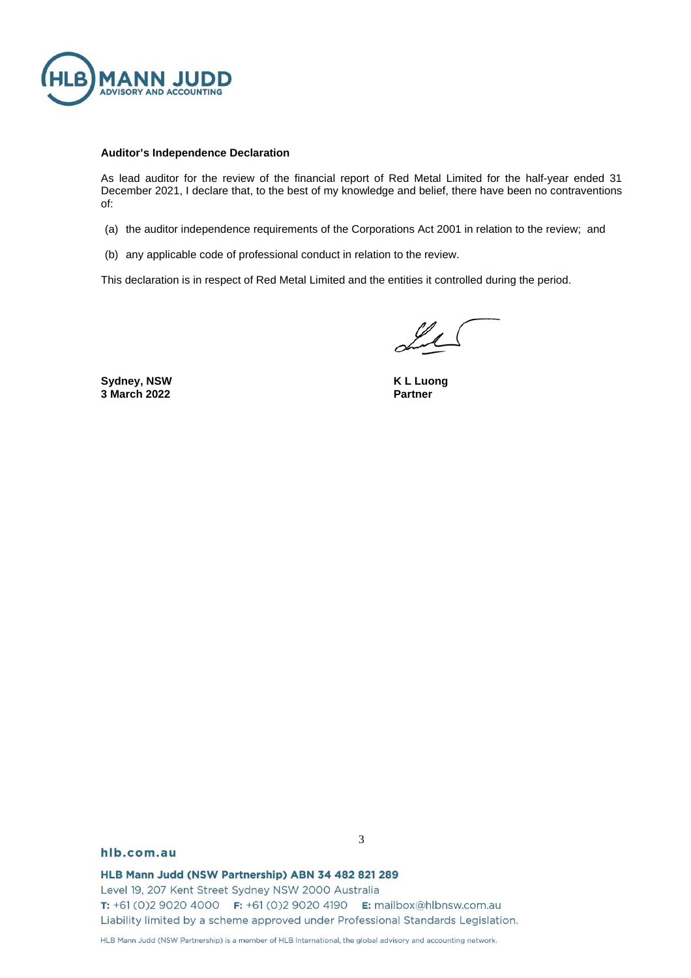

#### **Auditor's Independence Declaration**

As lead auditor for the review of the financial report of Red Metal Limited for the half-year ended 31 December 2021, I declare that, to the best of my knowledge and belief, there have been no contraventions of:

- (a) the auditor independence requirements of the Corporations Act 2001 in relation to the review; and
- (b) any applicable code of professional conduct in relation to the review.

This declaration is in respect of Red Metal Limited and the entities it controlled during the period.

Sydney, NSW **K L** Luong **3 March 2022** Partner

#### hlb.com.au

HLB Mann Judd (NSW Partnership) ABN 34 482 821 289

Level 19, 207 Kent Street Sydney NSW 2000 Australia T: +61 (0)2 9020 4000 F: +61 (0)2 9020 4190 E: mailbox@hlbnsw.com.au Liability limited by a scheme approved under Professional Standards Legislation.

HLB Mann Judd (NSW Partnership) is a member of HLB International, the global advisory and accounting network.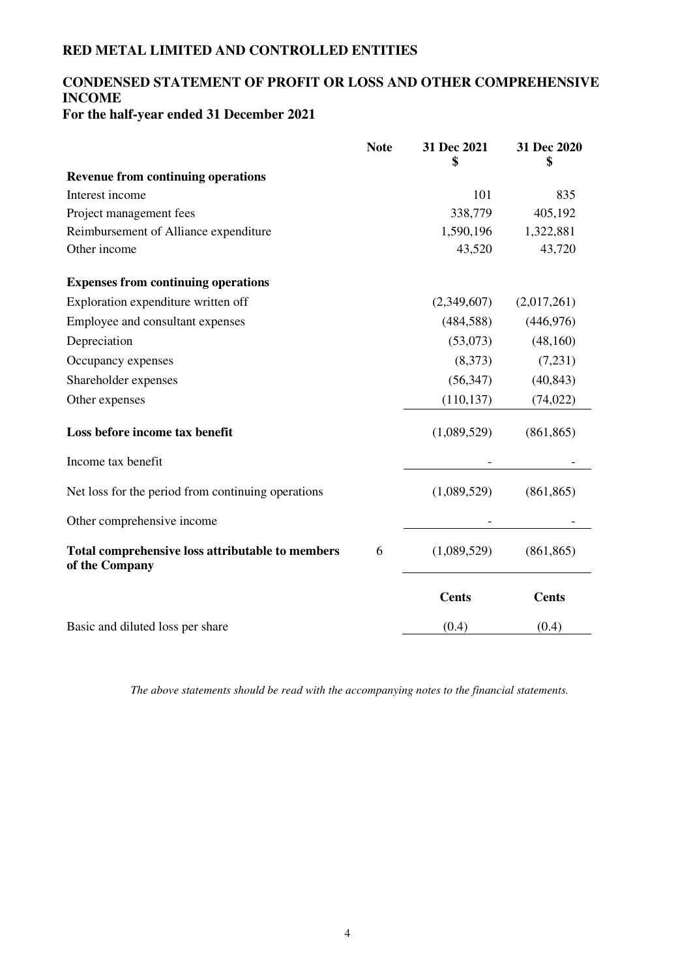## **CONDENSED STATEMENT OF PROFIT OR LOSS AND OTHER COMPREHENSIVE INCOME For the half-year ended 31 December 2021**

|                                                                    | <b>Note</b> | 31 Dec 2021<br>\$ | 31 Dec 2020<br>\$ |
|--------------------------------------------------------------------|-------------|-------------------|-------------------|
| <b>Revenue from continuing operations</b>                          |             |                   |                   |
| Interest income                                                    |             | 101               | 835               |
| Project management fees                                            |             | 338,779           | 405,192           |
| Reimbursement of Alliance expenditure                              |             | 1,590,196         | 1,322,881         |
| Other income                                                       |             | 43,520            | 43,720            |
| <b>Expenses from continuing operations</b>                         |             |                   |                   |
| Exploration expenditure written off                                |             | (2,349,607)       | (2,017,261)       |
| Employee and consultant expenses                                   |             | (484, 588)        | (446, 976)        |
| Depreciation                                                       |             | (53,073)          | (48, 160)         |
| Occupancy expenses                                                 |             | (8,373)           | (7,231)           |
| Shareholder expenses                                               |             | (56, 347)         | (40, 843)         |
| Other expenses                                                     |             | (110, 137)        | (74, 022)         |
| Loss before income tax benefit                                     |             | (1,089,529)       | (861, 865)        |
| Income tax benefit                                                 |             |                   |                   |
| Net loss for the period from continuing operations                 |             | (1,089,529)       | (861, 865)        |
| Other comprehensive income                                         |             |                   |                   |
| Total comprehensive loss attributable to members<br>of the Company | 6           | (1,089,529)       | (861, 865)        |
|                                                                    |             | <b>Cents</b>      | <b>Cents</b>      |
| Basic and diluted loss per share                                   |             | (0.4)             | (0.4)             |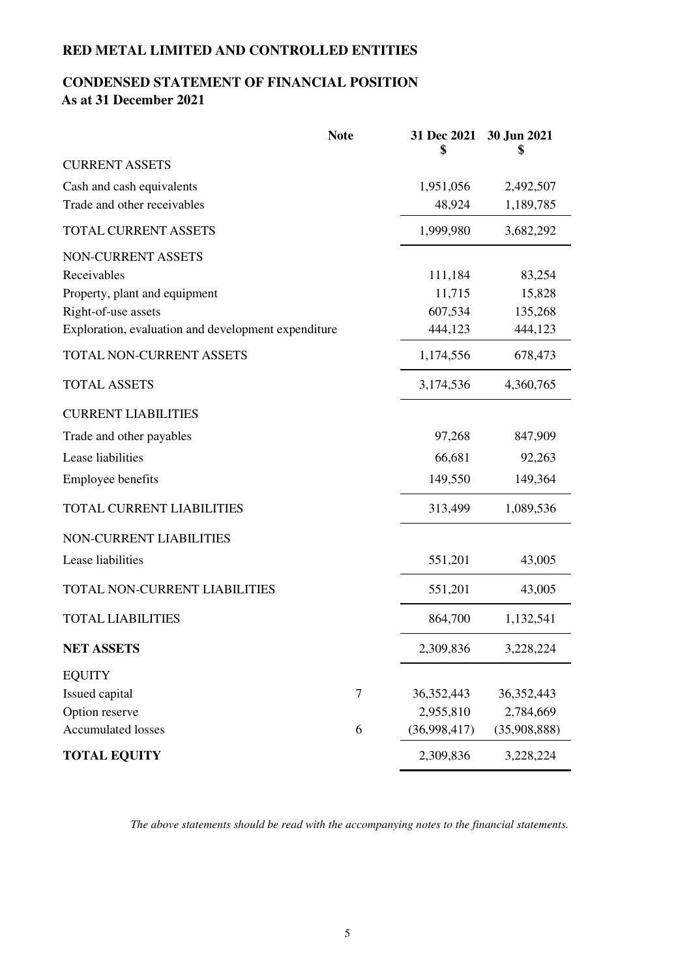# **CONDENSED STATEMENT OF FINANCIAL POSITION As at 31 December 2021**

|                                                     | <b>Note</b> | 31 Dec 2021<br>\$ | 30 Jun 2021<br>\$ |
|-----------------------------------------------------|-------------|-------------------|-------------------|
| <b>CURRENT ASSETS</b>                               |             |                   |                   |
| Cash and cash equivalents                           |             | 1,951,056         | 2,492,507         |
| Trade and other receivables                         |             | 48,924            | 1,189,785         |
| TOTAL CURRENT ASSETS                                |             | 1,999,980         | 3,682,292         |
| NON-CURRENT ASSETS                                  |             |                   |                   |
| Receivables                                         |             | 111,184           | 83,254            |
| Property, plant and equipment                       |             | 11,715            | 15,828            |
| Right-of-use assets                                 |             | 607,534           | 135,268           |
| Exploration, evaluation and development expenditure |             | 444,123           | 444,123           |
| TOTAL NON-CURRENT ASSETS                            |             | 1,174,556         | 678,473           |
| <b>TOTAL ASSETS</b>                                 |             | 3,174,536         | 4,360,765         |
| <b>CURRENT LIABILITIES</b>                          |             |                   |                   |
| Trade and other payables                            |             | 97,268            | 847,909           |
| Lease liabilities                                   |             | 66,681            | 92,263            |
| <b>Employee benefits</b>                            |             | 149,550           | 149,364           |
| TOTAL CURRENT LIABILITIES                           |             | 313,499           | 1,089,536         |
| NON-CURRENT LIABILITIES                             |             |                   |                   |
| Lease liabilities                                   |             | 551,201           | 43,005            |
| TOTAL NON-CURRENT LIABILITIES                       |             | 551,201           | 43,005            |
| <b>TOTAL LIABILITIES</b>                            |             | 864,700           | 1,132,541         |
| <b>NET ASSETS</b>                                   |             | 2,309,836         | 3,228,224         |
| <b>EQUITY</b>                                       |             |                   |                   |
| Issued capital                                      | $\tau$      | 36, 352, 443      | 36, 352, 443      |
| Option reserve                                      |             | 2,955,810         | 2,784,669         |
| <b>Accumulated losses</b>                           | 6           | (36,998,417)      | (35,908,888)      |
| <b>TOTAL EQUITY</b>                                 |             | 2,309,836         | 3,228,224         |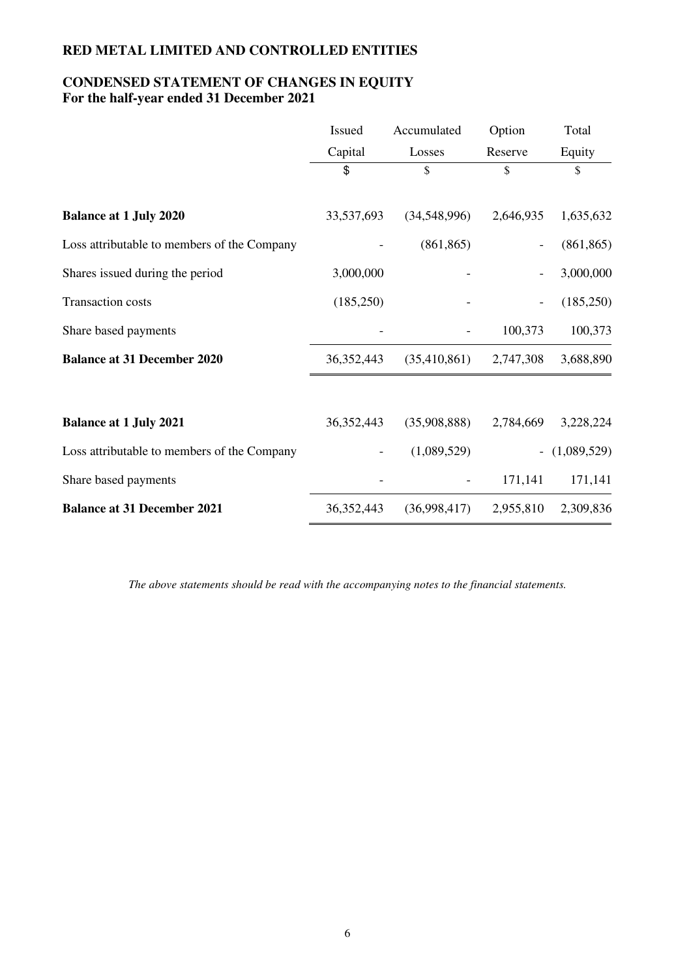## **CONDENSED STATEMENT OF CHANGES IN EQUITY For the half-year ended 31 December 2021**

|                                             | <b>Issued</b> | Accumulated  | Option    | Total       |
|---------------------------------------------|---------------|--------------|-----------|-------------|
|                                             | Capital       | Losses       | Reserve   | Equity      |
|                                             | \$            | \$           | \$        | \$          |
| <b>Balance at 1 July 2020</b>               | 33,537,693    | (34,548,996) | 2,646,935 | 1,635,632   |
| Loss attributable to members of the Company |               | (861, 865)   |           | (861, 865)  |
| Shares issued during the period             | 3,000,000     |              |           | 3,000,000   |
| Transaction costs                           | (185,250)     |              |           | (185, 250)  |
| Share based payments                        |               |              | 100,373   | 100,373     |
| <b>Balance at 31 December 2020</b>          | 36, 352, 443  | (35,410,861) | 2,747,308 | 3,688,890   |
|                                             |               |              |           |             |
| <b>Balance at 1 July 2021</b>               | 36, 352, 443  | (35,908,888) | 2,784,669 | 3,228,224   |
| Loss attributable to members of the Company |               | (1,089,529)  |           | (1,089,529) |
| Share based payments                        |               |              | 171,141   | 171,141     |
| <b>Balance at 31 December 2021</b>          | 36, 352, 443  | (36,998,417) | 2,955,810 | 2,309,836   |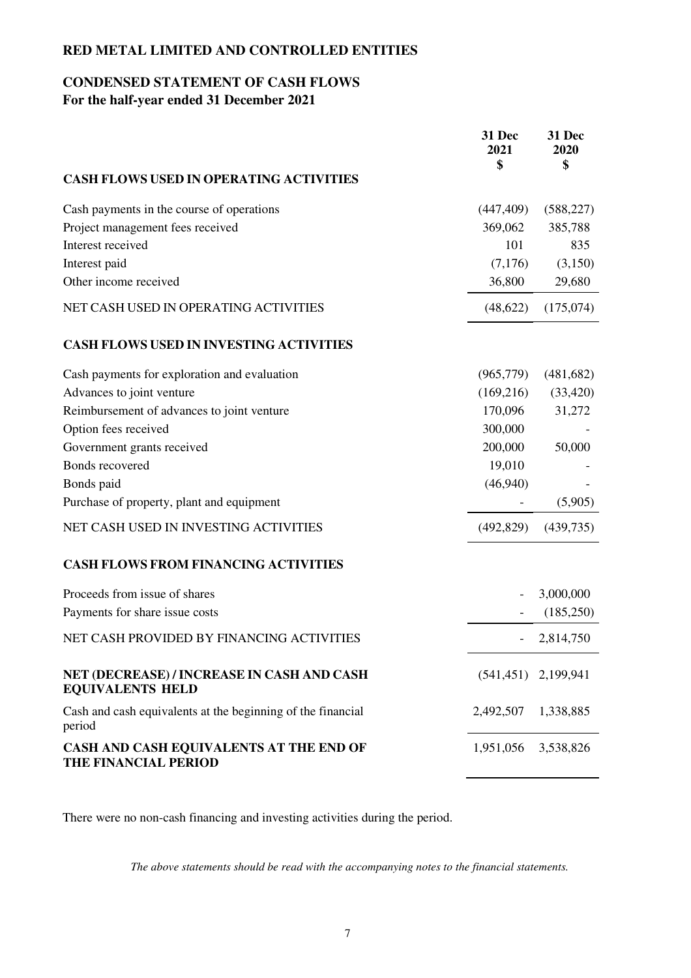## **CONDENSED STATEMENT OF CASH FLOWS For the half-year ended 31 December 2021**

|                                                                       | 31 Dec<br>2021<br>\$     | 31 Dec<br>2020<br>\$     |
|-----------------------------------------------------------------------|--------------------------|--------------------------|
| <b>CASH FLOWS USED IN OPERATING ACTIVITIES</b>                        |                          |                          |
| Cash payments in the course of operations                             | (447, 409)               | (588, 227)               |
| Project management fees received                                      | 369,062                  | 385,788                  |
| Interest received                                                     | 101                      | 835                      |
| Interest paid                                                         | (7,176)                  | (3,150)                  |
| Other income received                                                 | 36,800                   | 29,680                   |
| NET CASH USED IN OPERATING ACTIVITIES                                 | (48, 622)                | (175,074)                |
| <b>CASH FLOWS USED IN INVESTING ACTIVITIES</b>                        |                          |                          |
| Cash payments for exploration and evaluation                          | (965, 779)               | (481, 682)               |
| Advances to joint venture                                             | (169,216)                | (33, 420)                |
| Reimbursement of advances to joint venture                            | 170,096                  | 31,272                   |
| Option fees received                                                  | 300,000                  |                          |
| Government grants received                                            | 200,000                  | 50,000                   |
| Bonds recovered                                                       | 19,010                   |                          |
| Bonds paid                                                            | (46,940)                 |                          |
| Purchase of property, plant and equipment                             |                          | (5,905)                  |
| NET CASH USED IN INVESTING ACTIVITIES                                 | (492, 829)               | (439, 735)               |
| <b>CASH FLOWS FROM FINANCING ACTIVITIES</b>                           |                          |                          |
| Proceeds from issue of shares                                         |                          | 3,000,000                |
| Payments for share issue costs                                        |                          | (185,250)                |
| NET CASH PROVIDED BY FINANCING ACTIVITIES                             | $\overline{\phantom{a}}$ | 2,814,750                |
| NET (DECREASE) / INCREASE IN CASH AND CASH<br><b>EQUIVALENTS HELD</b> |                          | $(541, 451)$ 2, 199, 941 |
| Cash and cash equivalents at the beginning of the financial<br>period | 2,492,507                | 1,338,885                |
| CASH AND CASH EQUIVALENTS AT THE END OF<br>THE FINANCIAL PERIOD       | 1,951,056 3,538,826      |                          |

There were no non-cash financing and investing activities during the period.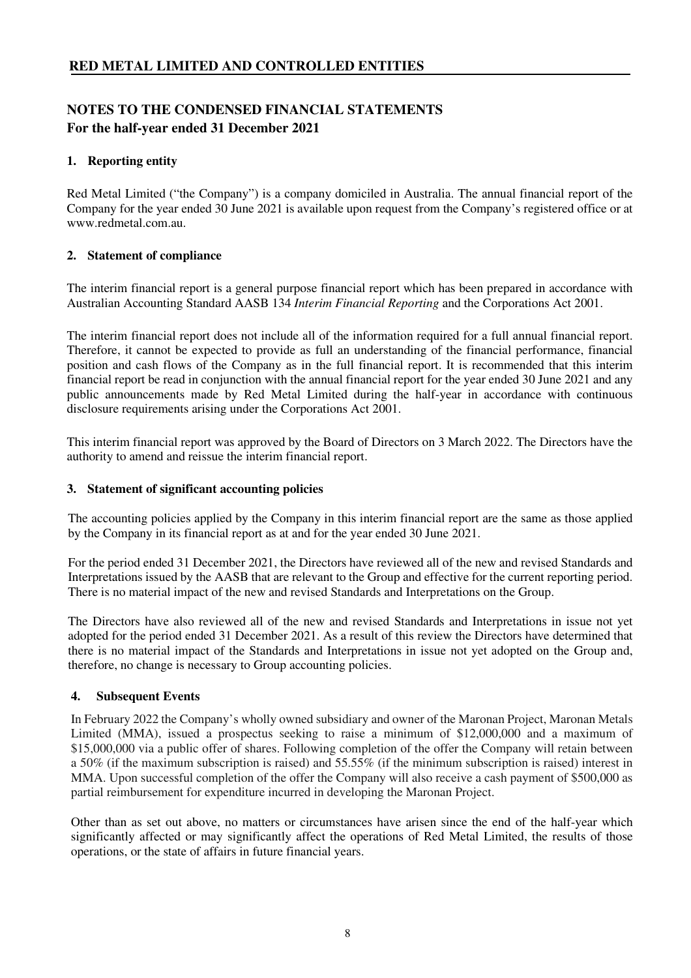## **NOTES TO THE CONDENSED FINANCIAL STATEMENTS For the half-year ended 31 December 2021**

## **1. Reporting entity**

Red Metal Limited ("the Company") is a company domiciled in Australia. The annual financial report of the Company for the year ended 30 June 2021 is available upon request from the Company's registered office or at www.redmetal.com.au.

## **2. Statement of compliance**

The interim financial report is a general purpose financial report which has been prepared in accordance with Australian Accounting Standard AASB 134 *Interim Financial Reporting* and the Corporations Act 2001.

The interim financial report does not include all of the information required for a full annual financial report. Therefore, it cannot be expected to provide as full an understanding of the financial performance, financial position and cash flows of the Company as in the full financial report. It is recommended that this interim financial report be read in conjunction with the annual financial report for the year ended 30 June 2021 and any public announcements made by Red Metal Limited during the half-year in accordance with continuous disclosure requirements arising under the Corporations Act 2001.

This interim financial report was approved by the Board of Directors on 3 March 2022. The Directors have the authority to amend and reissue the interim financial report.

## **3. Statement of significant accounting policies**

The accounting policies applied by the Company in this interim financial report are the same as those applied by the Company in its financial report as at and for the year ended 30 June 2021.

For the period ended 31 December 2021, the Directors have reviewed all of the new and revised Standards and Interpretations issued by the AASB that are relevant to the Group and effective for the current reporting period. There is no material impact of the new and revised Standards and Interpretations on the Group.

The Directors have also reviewed all of the new and revised Standards and Interpretations in issue not yet adopted for the period ended 31 December 2021. As a result of this review the Directors have determined that there is no material impact of the Standards and Interpretations in issue not yet adopted on the Group and, therefore, no change is necessary to Group accounting policies.

### **4. Subsequent Events**

In February 2022 the Company's wholly owned subsidiary and owner of the Maronan Project, Maronan Metals Limited (MMA), issued a prospectus seeking to raise a minimum of \$12,000,000 and a maximum of \$15,000,000 via a public offer of shares. Following completion of the offer the Company will retain between a 50% (if the maximum subscription is raised) and 55.55% (if the minimum subscription is raised) interest in MMA. Upon successful completion of the offer the Company will also receive a cash payment of \$500,000 as partial reimbursement for expenditure incurred in developing the Maronan Project.

Other than as set out above, no matters or circumstances have arisen since the end of the half-year which significantly affected or may significantly affect the operations of Red Metal Limited, the results of those operations, or the state of affairs in future financial years.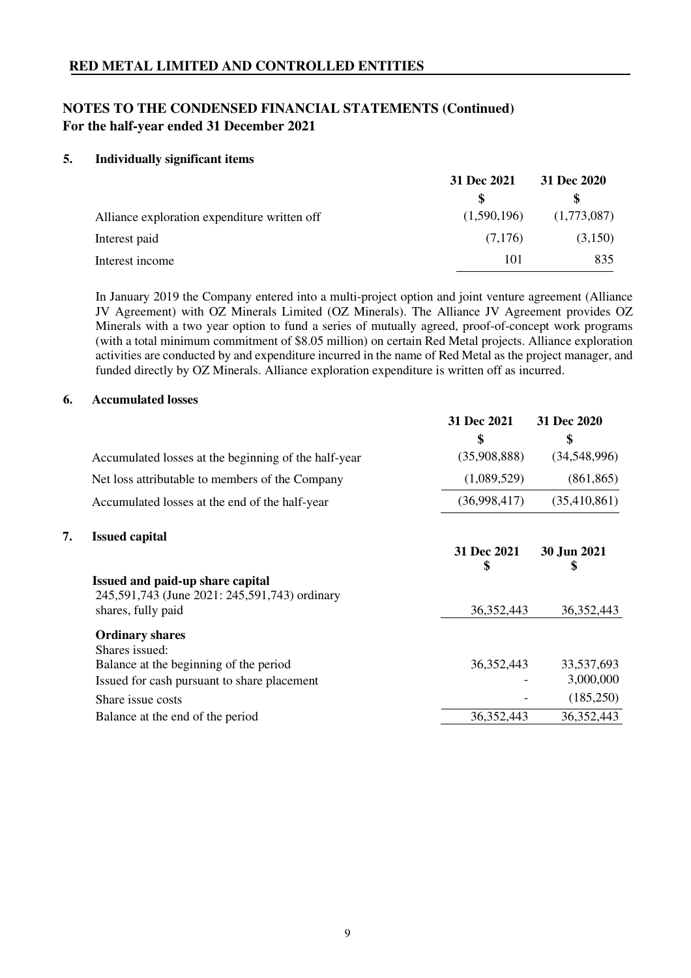## **NOTES TO THE CONDENSED FINANCIAL STATEMENTS (Continued) For the half-year ended 31 December 2021**

### **5. Individually significant items**

|                                              | 31 Dec 2021 | 31 Dec 2020 |  |
|----------------------------------------------|-------------|-------------|--|
|                                              |             |             |  |
| Alliance exploration expenditure written off | (1,590,196) | (1,773,087) |  |
| Interest paid                                | (7.176)     | (3,150)     |  |
| Interest income                              | 101         | 835         |  |

In January 2019 the Company entered into a multi-project option and joint venture agreement (Alliance JV Agreement) with OZ Minerals Limited (OZ Minerals). The Alliance JV Agreement provides OZ Minerals with a two year option to fund a series of mutually agreed, proof-of-concept work programs (with a total minimum commitment of \$8.05 million) on certain Red Metal projects. Alliance exploration activities are conducted by and expenditure incurred in the name of Red Metal as the project manager, and funded directly by OZ Minerals. Alliance exploration expenditure is written off as incurred.

#### **6. Accumulated losses**

|                                                                                   | 31 Dec 2021       | 31 Dec 2020       |
|-----------------------------------------------------------------------------------|-------------------|-------------------|
|                                                                                   | \$                | \$                |
| Accumulated losses at the beginning of the half-year                              | (35,908,888)      | (34,548,996)      |
| Net loss attributable to members of the Company                                   | (1,089,529)       | (861, 865)        |
| Accumulated losses at the end of the half-year                                    | (36,998,417)      | (35,410,861)      |
| 7.<br><b>Issued capital</b>                                                       | 31 Dec 2021<br>\$ | 30 Jun 2021<br>\$ |
| Issued and paid-up share capital<br>245,591,743 (June 2021: 245,591,743) ordinary |                   |                   |
| shares, fully paid                                                                | 36, 352, 443      | 36, 352, 443      |
| <b>Ordinary shares</b><br>Shares issued:                                          |                   |                   |
| Balance at the beginning of the period                                            | 36, 352, 443      | 33,537,693        |
| Issued for cash pursuant to share placement                                       |                   | 3,000,000         |
| Share issue costs                                                                 |                   | (185,250)         |
| Balance at the end of the period                                                  | 36, 352, 443      | 36, 352, 443      |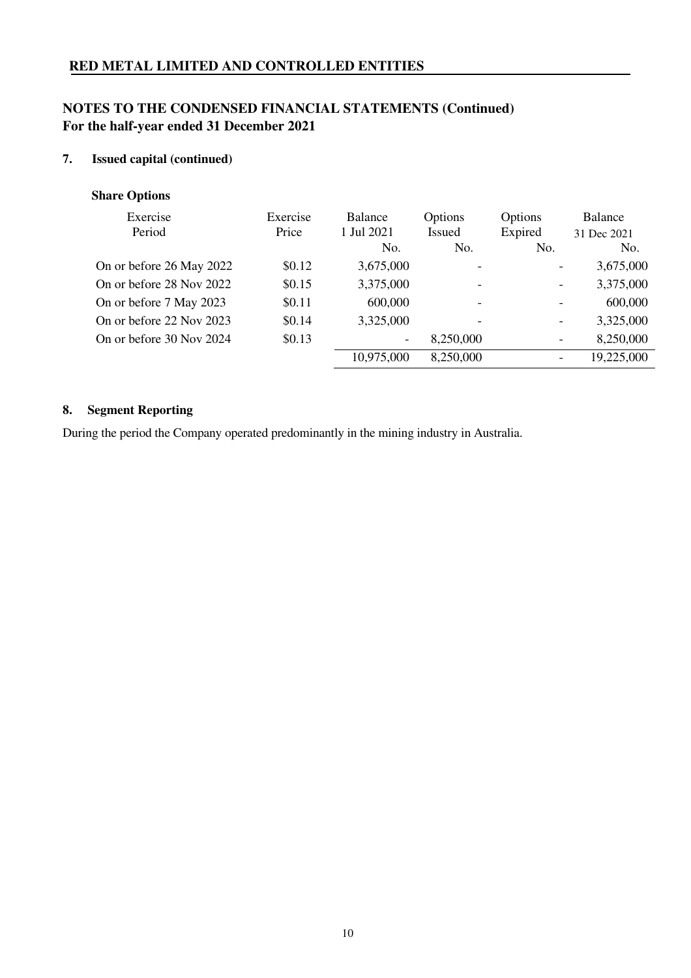# **NOTES TO THE CONDENSED FINANCIAL STATEMENTS (Continued) For the half-year ended 31 December 2021**

## **7. Issued capital (continued)**

## **Share Options**

| Exercise<br>Period       | Exercise<br>Price | <b>Balance</b><br>1 Jul 2021<br>No. | Options<br><b>Issued</b><br>No. | Options<br>Expired<br>No. | Balance<br>31 Dec 2021<br>No. |
|--------------------------|-------------------|-------------------------------------|---------------------------------|---------------------------|-------------------------------|
| On or before 26 May 2022 | \$0.12            | 3,675,000                           |                                 | $\overline{\phantom{a}}$  | 3,675,000                     |
| On or before 28 Nov 2022 | \$0.15            | 3,375,000                           | $\overline{\phantom{a}}$        | $\overline{\phantom{a}}$  | 3,375,000                     |
| On or before 7 May 2023  | \$0.11            | 600,000                             | $\overline{\phantom{a}}$        |                           | 600,000                       |
| On or before 22 Nov 2023 | \$0.14            | 3,325,000                           | $\overline{\phantom{0}}$        | $\overline{\phantom{a}}$  | 3,325,000                     |
| On or before 30 Nov 2024 | \$0.13            | $\overline{\phantom{a}}$            | 8,250,000                       | $\overline{\phantom{a}}$  | 8,250,000                     |
|                          |                   | 10,975,000                          | 8,250,000                       |                           | 19,225,000                    |

# **8. Segment Reporting**

During the period the Company operated predominantly in the mining industry in Australia.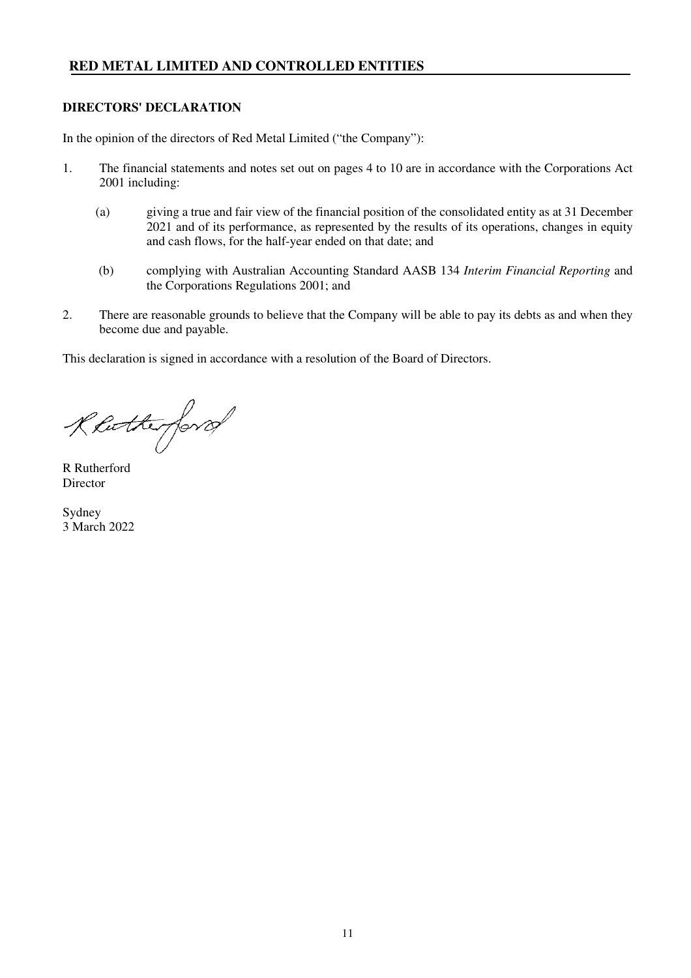#### **DIRECTORS' DECLARATION**

In the opinion of the directors of Red Metal Limited ("the Company"):

- 1. The financial statements and notes set out on pages 4 to 10 are in accordance with the Corporations Act 2001 including:
	- (a) giving a true and fair view of the financial position of the consolidated entity as at 31 December 2021 and of its performance, as represented by the results of its operations, changes in equity and cash flows, for the half-year ended on that date; and
	- (b) complying with Australian Accounting Standard AASB 134 *Interim Financial Reporting* and the Corporations Regulations 2001; and
- 2. There are reasonable grounds to believe that the Company will be able to pay its debts as and when they become due and payable.

This declaration is signed in accordance with a resolution of the Board of Directors.

Rhotterford

R Rutherford Director

Sydney 3 March 2022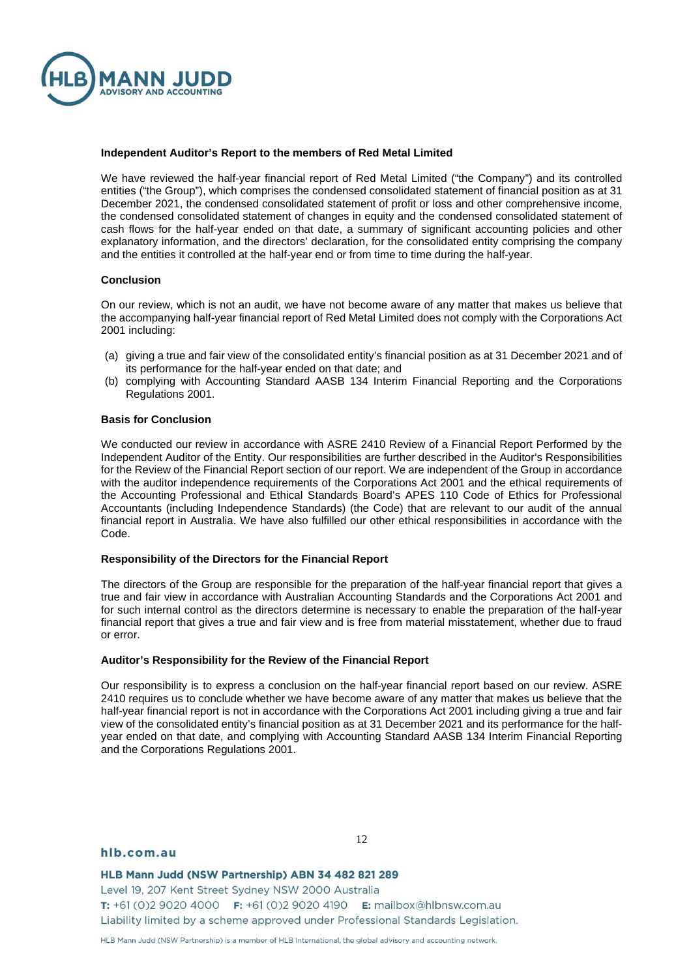

#### **Independent Auditor's Report to the members of Red Metal Limited**

We have reviewed the half-year financial report of Red Metal Limited ("the Company") and its controlled entities ("the Group"), which comprises the condensed consolidated statement of financial position as at 31 December 2021, the condensed consolidated statement of profit or loss and other comprehensive income, the condensed consolidated statement of changes in equity and the condensed consolidated statement of cash flows for the half-year ended on that date, a summary of significant accounting policies and other explanatory information, and the directors' declaration, for the consolidated entity comprising the company and the entities it controlled at the half-year end or from time to time during the half-year.

#### **Conclusion**

On our review, which is not an audit, we have not become aware of any matter that makes us believe that the accompanying half-year financial report of Red Metal Limited does not comply with the Corporations Act 2001 including:

- (a) giving a true and fair view of the consolidated entity's financial position as at 31 December 2021 and of its performance for the half-year ended on that date; and
- (b) complying with Accounting Standard AASB 134 Interim Financial Reporting and the Corporations Regulations 2001.

#### **Basis for Conclusion**

We conducted our review in accordance with ASRE 2410 Review of a Financial Report Performed by the Independent Auditor of the Entity. Our responsibilities are further described in the Auditor's Responsibilities for the Review of the Financial Report section of our report. We are independent of the Group in accordance with the auditor independence requirements of the Corporations Act 2001 and the ethical requirements of the Accounting Professional and Ethical Standards Board's APES 110 Code of Ethics for Professional Accountants (including Independence Standards) (the Code) that are relevant to our audit of the annual financial report in Australia. We have also fulfilled our other ethical responsibilities in accordance with the Code.

#### **Responsibility of the Directors for the Financial Report**

The directors of the Group are responsible for the preparation of the half-year financial report that gives a true and fair view in accordance with Australian Accounting Standards and the Corporations Act 2001 and for such internal control as the directors determine is necessary to enable the preparation of the half-year financial report that gives a true and fair view and is free from material misstatement, whether due to fraud or error.

#### **Auditor's Responsibility for the Review of the Financial Report**

Our responsibility is to express a conclusion on the half-year financial report based on our review. ASRE 2410 requires us to conclude whether we have become aware of any matter that makes us believe that the half-year financial report is not in accordance with the Corporations Act 2001 including giving a true and fair view of the consolidated entity's financial position as at 31 December 2021 and its performance for the halfyear ended on that date, and complying with Accounting Standard AASB 134 Interim Financial Reporting and the Corporations Regulations 2001.

#### hlb.com.au

12

HLB Mann Judd (NSW Partnership) ABN 34 482 821 289 Level 19, 207 Kent Street Sydney NSW 2000 Australia T: +61 (0)2 9020 4000 F: +61 (0)2 9020 4190 E: mailbox@hlbnsw.com.au Liability limited by a scheme approved under Professional Standards Legislation.

HLB Mann Judd (NSW Partnership) is a member of HLB International, the global advisory and accounting network.